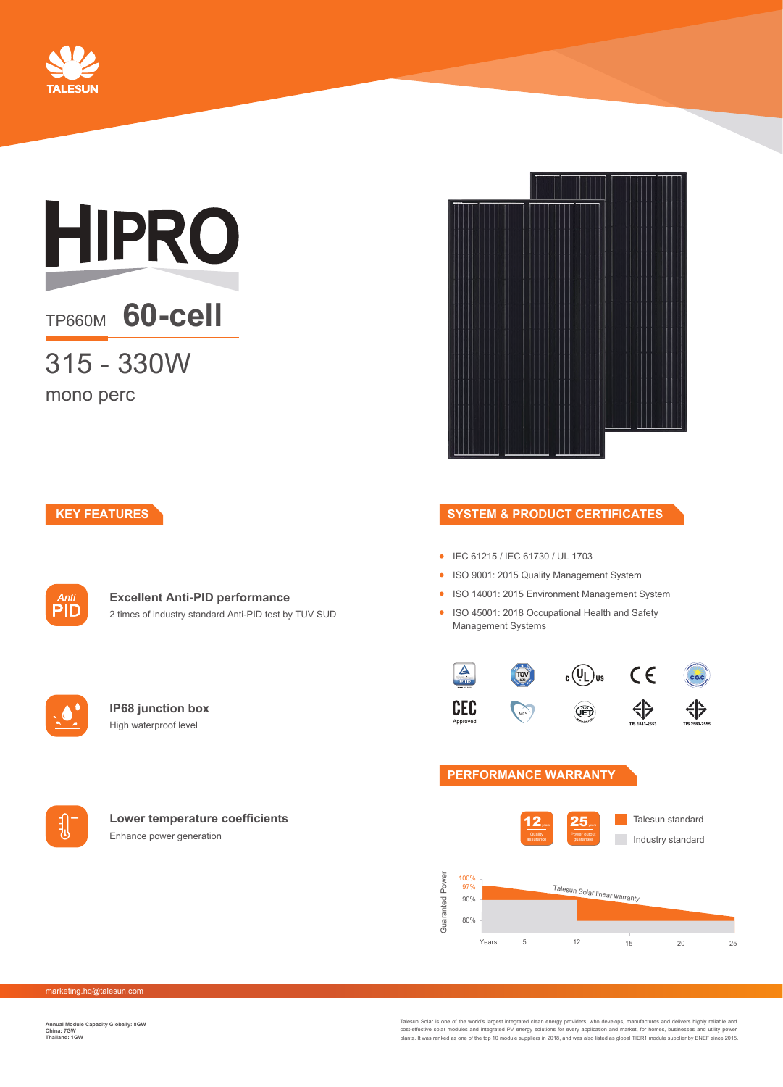

# **HIPRO**

## TP660M **60-cell**

315 - 330W

mono perc

#### **KEY FEATURES**



#### **Excellent Anti-PID performance** 2 times of industry standard Anti-PID test by TUV SUD



**IP68 junction box** High waterproof level



#### **Lower temperature coefficients** Enhance power generation

#### **SYSTEM & PRODUCT CERTIFICATES**

- IEC 61215 / IEC 61730 / UL 1703
- ISO 9001: 2015 Quality Management System
- ISO 14001: 2015 Environment Management System
- ISO 45001: 2018 Occupational Health and Safety Management Systems



#### **PERFORMANCE WARRANTY**



marketing.hq@talesun.com

**Annual Module Capacity Globally: 8GW China: 7GW Thailand: 1GW**

Talesun Solar is one of the world's largest integrated clean energy providers, who develops, manufactures and delivers highly reliable and<br>cost-effective solar modules and integrated PV energy solutions for every applicati